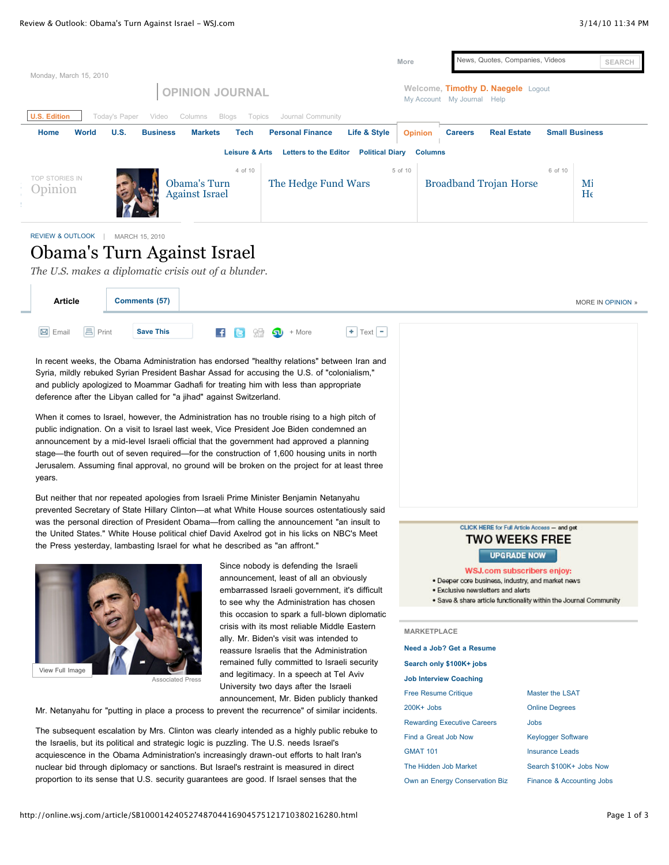|                                      |                                                                                                 |                                                                        | More                      | News, Quotes, Companies, Videos                                  | <b>SEARCH</b>         |
|--------------------------------------|-------------------------------------------------------------------------------------------------|------------------------------------------------------------------------|---------------------------|------------------------------------------------------------------|-----------------------|
| Monday, March 15, 2010               | <b>OPINION JOURNAL</b>                                                                          |                                                                        |                           | Welcome, Timothy D. Naegele Logout<br>My Account My Journal Help |                       |
| <b>U.S. Edition</b><br>World<br>Home | Today's Paper<br>Columns<br>Blogs<br>Video<br>U.S.<br><b>Business</b><br><b>Markets</b><br>Tech | Topics<br>Journal Community<br>Life & Style<br><b>Personal Finance</b> | <b>Opinion</b>            | <b>Real Estate</b><br><b>Careers</b>                             | <b>Small Business</b> |
|                                      | Leisure & Arts<br>4 of 10                                                                       | <b>Letters to the Editor</b><br><b>Political Diary</b>                 | <b>Columns</b><br>5 of 10 | 6 of 10                                                          |                       |
| TOP STORIES IN<br>Opinion            | Obama's Turn<br><b>Against Israel</b>                                                           | The Hedge Fund Wars                                                    |                           | <b>Broadband Trojan Horse</b>                                    | Mi<br>$H_6$           |

[REVIEW & OUTLOOK](http://online.wsj.com/public/search?article-doc-type=%7BReview+%26+Outlook+%28U.S.%29%7D&HEADER_TEXT=review+%26+outlook+%28u.s.) | MARCH 15, 2010

# Obama's Turn Against Israel

*The U.S. makes a diplomatic crisis out of a blunder.*

| <b>Article</b>                      | Comments (57)    |                                                                                          |                                                        | MORE IN OPINION » |
|-------------------------------------|------------------|------------------------------------------------------------------------------------------|--------------------------------------------------------|-------------------|
| <b>昌</b> Print<br>$\boxed{M}$ Email | <b>Save This</b> | $\begin{array}{ccc} \textbf{F} & \textbf{G} & \text{Im} & \textbf{I} \end{array}$ + More | $\left  \bullet \right $ Text $\left  \bullet \right $ |                   |

In recent weeks, the Obama Administration has endorsed "healthy relations" between Iran and Syria, mildly rebuked Syrian President Bashar Assad for accusing the U.S. of "colonialism," and publicly apologized to Moammar Gadhafi for treating him with less than appropriate deference after the Libyan called for "a jihad" against Switzerland.

When it comes to Israel, however, the Administration has no trouble rising to a high pitch of public indignation. On a visit to Israel last week, Vice President Joe Biden condemned an announcement by a mid-level Israeli official that the government had approved a planning stage—the fourth out of seven required—for the construction of 1,600 housing units in north Jerusalem. Assuming final approval, no ground will be broken on the project for at least three years.

But neither that nor repeated apologies from Israeli Prime Minister Benjamin Netanyahu prevented Secretary of State Hillary Clinton—at what White House sources ostentatiously said was the personal direction of President Obama—from calling the announcement "an insult to the United States." White House political chief David Axelrod got in his licks on NBC's Meet the Press yesterday, lambasting Israel for what he described as "an affront."



Associated Press

Since nobody is defending the Israeli announcement, least of all an obviously embarrassed Israeli government, it's difficult to see why the Administration has chosen this occasion to spark a full-blown diplomatic crisis with its most reliable Middle Eastern ally. Mr. Biden's visit was intended to reassure Israelis that the Administration remained fully committed to Israeli security and legitimacy. In a speech at Tel Aviv University two days after the Israeli announcement, Mr. Biden publicly thanked

Mr. Netanyahu for "putting in place a process to prevent the recurrence" of similar incidents.

The subsequent escalation by Mrs. Clinton was clearly intended as a highly public rebuke to the Israelis, but its political and strategic logic is puzzling. The U.S. needs Israel's acquiescence in the Obama Administration's increasingly drawn-out efforts to halt Iran's nuclear bid through diplomacy or sanctions. But Israel's restraint is measured in direct proportion to its sense that U.S. security guarantees are good. If Israel senses that the



#### CLICK HERE for Full Article Access - and get **TWO WEEKS FREE**

## **UPGRADE NOW**

WSJ.com subscribers enjoy:

- · Deeper core business, industry, and market news
- · Exclusive newsletters and alerts
- . Save & share article functionality within the Journal Community

#### **MARKETPLACE**

| Need a Job? Get a Resume           |                           |
|------------------------------------|---------------------------|
| Search only \$100K+ jobs           |                           |
| <b>Job Interview Coaching</b>      |                           |
| <b>Free Resume Critique</b>        | Master the LSAT           |
| 200K+ Jobs                         | <b>Online Degrees</b>     |
| <b>Rewarding Executive Careers</b> | Jobs                      |
| Find a Great Job Now               | <b>Keylogger Software</b> |
| <b>GMAT 101</b>                    | <b>Insurance Leads</b>    |
| The Hidden Job Market              | Search \$100K+ Jobs Now   |
| Own an Energy Conservation Biz     | Finance & Accounting Jobs |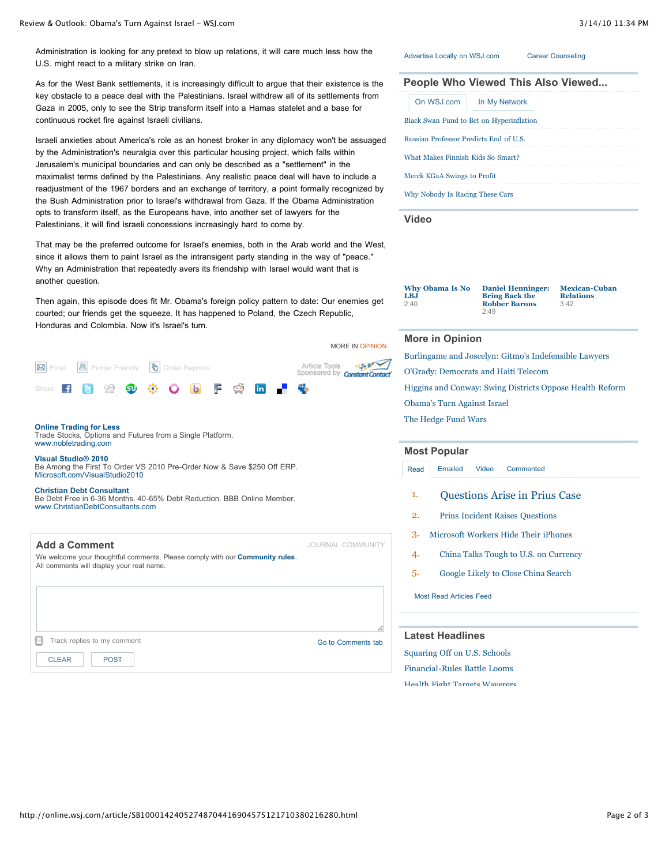Administration is looking for any pretext to blow up relations, it will care much less how the U.S. might react to a military strike on Iran.

As for the West Bank settlements, it is increasingly difficult to argue that their existence is the key obstacle to a peace deal with the Palestinians. Israel withdrew all of its settlements from Gaza in 2005, only to see the Strip transform itself into a Hamas statelet and a base for continuous rocket fire against Israeli civilians.

Israeli anxieties about America's role as an honest broker in any diplomacy won't be assuaged by the Administration's neuralgia over this particular housing project, which falls within Jerusalem's municipal boundaries and can only be described as a "settlement" in the maximalist terms defined by the Palestinians. Any realistic peace deal will have to include a readjustment of the 1967 borders and an exchange of territory, a point formally recognized by the Bush Administration prior to Israel's withdrawal from Gaza. If the Obama Administration opts to transform itself, as the Europeans have, into another set of lawyers for the Palestinians, it will find Israeli concessions increasingly hard to come by.

That may be the preferred outcome for Israel's enemies, both in the Arab world and the West, since it allows them to paint Israel as the intransigent party standing in the way of "peace." Why an Administration that repeatedly avers its friendship with Israel would want that is another question.

Then again, this episode does fit Mr. Obama's foreign policy pattern to date: Our enemies get courted; our friends get the squeeze. It has happened to Poland, the Czech Republic, Honduras and Colombia. Now it's Israel's turn.



#### **[Online Trading for Less](http://0.r.msn.com/?ld=2vnvvV/Km5eped+m34t8+KyY8WYfWeUBoqxKFQVJxmHRZQDhQn5I9uL7URBilJ39m4JIK/dA3Ap+HShW0ODTiMksHfXK7xPnYOwo3+Mql4UgE4zkRwqzU045rdpPupLdyoCU8qS5dXR0tI9NeYpepFvWaqTBA46gs6nLOERHlLHkC5dGxGX+W/BVqSz9/zNAmXIpRo7pKj7n/CIkJvnxawW4YlA9OHX0LwSE9HNTrPwFKUYXDRRPUL)**

[Trade Stocks, Options and Futures from a Single Platform.](http://0.r.msn.com/?ld=2vnvvV/Km5eped+m34t8+KyY8WYfWeUBoqxKFQVJxmHRZQDhQn5I9uL7URBilJ39m4JIK/dA3Ap+HShW0ODTiMksHfXK7xPnYOwo3+Mql4UgE4zkRwqzU045rdpPupLdyoCU8qS5dXR0tI9NeYpepFvWaqTBA46gs6nLOERHlLHkC5dGxGX+W/BVqSz9/zNAmXIpRo7pKj7n/CIkJvnxawW4YlA9OHX0LwSE9HNTrPwFKUYXDRRPUL) [www.nobletrading.com](http://0.r.msn.com/?ld=2vnvvV/Km5eped+m34t8+KyY8WYfWeUBoqxKFQVJxmHRZQDhQn5I9uL7URBilJ39m4JIK/dA3Ap+HShW0ODTiMksHfXK7xPnYOwo3+Mql4UgE4zkRwqzU045rdpPupLdyoCU8qS5dXR0tI9NeYpepFvWaqTBA46gs6nLOERHlLHkC5dGxGX+W/BVqSz9/zNAmXIpRo7pKj7n/CIkJvnxawW4YlA9OHX0LwSE9HNTrPwFKUYXDRRPUL)

**[Visual Studio® 2010](http://0.r.msn.com/?ld=2v/dFv1rlxUsDaQCOxHOjfH6PBZvhoOFBkCLMFvE4rsm/rmpxvk70VUnCs4j0lN/Td1ZE3iG9IYDpZY1vVNfuhamGFYZbuRflxBHYhG+7w0aMArF4w7MfW7SykhWX6WXnwSeqB3yAof2Fv3+s3zaUQS5AT8VIR9cj5MmNDVi/IYQk9EfNGuq34FWOBnlIXopbWSNAWAzrbgfuTAqPoJKEM89NA6E0vIVZPifEAT8ntSe872ZF0ONlp9ApyyW9HNM2ofpSxJ0SEgs+4N6O56x4U1regmKn+DF1O8EhPRxF8NnPv4MF9eq6FCw==)** [Be Among the First To Order VS 2010 Pre-Order Now & Save \\$250 Off ERP.](http://0.r.msn.com/?ld=2v/dFv1rlxUsDaQCOxHOjfH6PBZvhoOFBkCLMFvE4rsm/rmpxvk70VUnCs4j0lN/Td1ZE3iG9IYDpZY1vVNfuhamGFYZbuRflxBHYhG+7w0aMArF4w7MfW7SykhWX6WXnwSeqB3yAof2Fv3+s3zaUQS5AT8VIR9cj5MmNDVi/IYQk9EfNGuq34FWOBnlIXopbWSNAWAzrbgfuTAqPoJKEM89NA6E0vIVZPifEAT8ntSe872ZF0ONlp9ApyyW9HNM2ofpSxJ0SEgs+4N6O56x4U1regmKn+DF1O8EhPRxF8NnPv4MF9eq6FCw==) [Microsoft.com/VisualStudio2010](http://0.r.msn.com/?ld=2v/dFv1rlxUsDaQCOxHOjfH6PBZvhoOFBkCLMFvE4rsm/rmpxvk70VUnCs4j0lN/Td1ZE3iG9IYDpZY1vVNfuhamGFYZbuRflxBHYhG+7w0aMArF4w7MfW7SykhWX6WXnwSeqB3yAof2Fv3+s3zaUQS5AT8VIR9cj5MmNDVi/IYQk9EfNGuq34FWOBnlIXopbWSNAWAzrbgfuTAqPoJKEM89NA6E0vIVZPifEAT8ntSe872ZF0ONlp9ApyyW9HNM2ofpSxJ0SEgs+4N6O56x4U1regmKn+DF1O8EhPRxF8NnPv4MF9eq6FCw==)

**[Christian Debt Consultant](http://120622.r.msn.com/?ld=2vjt4w+ZAiG8Swo6E+pbBhp9OCe4VnElaxLQ7BkwXj8WaBZ9QGdNq7MqG2sBvKF+dxS+0A/KclKVYweg9ceLSNjKfaLKOAIx0R7uBQJPUKykElWsci2eK8JaEgjMWHMABrOF2Sf0zju0ENxmAsK2uoKsPTKOQn3PehYokbuLnGle06uYiQ+xxI3a+FeMyFhH6ttMbn20ICt+ac9E038dJ6wLXi4+77iTiZk5FYq4JGu+SxHt2NZNcHpDjwSE9HqutryifbfFv+eNAL)** [Be Debt Free in 6-36 Months. 40-65% Debt Reduction. BBB Online Member.](http://120622.r.msn.com/?ld=2vjt4w+ZAiG8Swo6E+pbBhp9OCe4VnElaxLQ7BkwXj8WaBZ9QGdNq7MqG2sBvKF+dxS+0A/KclKVYweg9ceLSNjKfaLKOAIx0R7uBQJPUKykElWsci2eK8JaEgjMWHMABrOF2Sf0zju0ENxmAsK2uoKsPTKOQn3PehYokbuLnGle06uYiQ+xxI3a+FeMyFhH6ttMbn20ICt+ac9E038dJ6wLXi4+77iTiZk5FYq4JGu+SxHt2NZNcHpDjwSE9HqutryifbfFv+eNAL) [www.ChristianDebtConsultants.com](http://120622.r.msn.com/?ld=2vjt4w+ZAiG8Swo6E+pbBhp9OCe4VnElaxLQ7BkwXj8WaBZ9QGdNq7MqG2sBvKF+dxS+0A/KclKVYweg9ceLSNjKfaLKOAIx0R7uBQJPUKykElWsci2eK8JaEgjMWHMABrOF2Sf0zju0ENxmAsK2uoKsPTKOQn3PehYokbuLnGle06uYiQ+xxI3a+FeMyFhH6ttMbn20ICt+ac9E038dJ6wLXi4+77iTiZk5FYq4JGu+SxHt2NZNcHpDjwSE9HqutryifbfFv+eNAL)

**Add a Comment Add a Comment** *COMMUNITY* **<b>***COMMUNITY* We welcome your thoughtful comments. Please comply with our **[Community rules](http://online.wsj.com/community/faq#openId=3)**. All comments will display your real name.

Track replies to my comment Comments table Track replies to my comments table Track replies to Museum Comments table

[CLEAR](http://online.wsj.com/article/SB10001424052748704416904575121710380216280.html#) | [POST](http://online.wsj.com/article/SB10001424052748704416904575121710380216280.html#)

#### [Advertise Locally on WSJ.com](http://www.wsjlocal.com/) [Career Counseling](http://wsj.careerdev.org/wsj/counseling/welcome.asp)

|                                        |                                          | People Who Viewed This Also Viewed |
|----------------------------------------|------------------------------------------|------------------------------------|
| On WSJ.com                             | In My Network                            |                                    |
|                                        | Black Swan Fund to Bet on Hyperinflation |                                    |
| Russian Professor Predicts End of U.S. |                                          |                                    |
| What Makes Finnish Kids So Smart?      |                                          |                                    |
| Merck KGaA Swings to Profit            |                                          |                                    |
| Why Nobody Is Racing These Cars        |                                          |                                    |

**[Video](http://online.wsj.com/video-center/opinion.html)**

| <b>Why Obama Is No</b><br>LBJ<br>2:40 | <b>Daniel Henninger:</b><br><b>Bring Back the</b><br><b>Robber Barons</b><br>2.49 | <b>Mexican-Cuban</b><br><b>Relations</b><br>3:42 |
|---------------------------------------|-----------------------------------------------------------------------------------|--------------------------------------------------|
|                                       |                                                                                   |                                                  |

#### **More in Opinion**

[Burlingame and Joscelyn: Gitmo's Indefensible Lawyers](http://online.wsj.com/article/SB10001424052748704131404575117611125872740.html?mod=WSJ_article_MoreIn)

[O'Grady: Democrats and Haiti Telecom](http://online.wsj.com/article/SB10001424052748703625304575116030721437698.html?mod=WSJ_article_MoreIn)

[Higgins and Conway: Swing Districts Oppose Health Reform](http://online.wsj.com/article/SB10001424052748704416904575121541779736742.html?mod=WSJ_article_MoreIn)

[Obama's Turn Against Israel](http://online.wsj.com/article/SB10001424052748704416904575121710380216280.html?mod=WSJ_article_MoreIn)

[The Hedge Fund Wars](http://online.wsj.com/article/SB10001424052748704131404575117302452329796.html?mod=WSJ_article_MoreIn)

### **[Most Popular](http://online.wsj.com/public/page/most_popular.html)**

[Read](http://online.wsj.com/article/SB10001424052748704416904575121710380216280.html#mostPopular_mostRead) [Emailed](http://online.wsj.com/article/SB10001424052748704416904575121710380216280.html#mostPopular_mostEmailed) [Video](http://online.wsj.com/article/SB10001424052748704416904575121710380216280.html#mostPopular_mostPopularVideo) [Commented](http://online.wsj.com/article/SB10001424052748704416904575121710380216280.html#mostPopular_mostCommented)

- 1. [Questions Arise in Prius Case](http://online.wsj.com/article/SB10001424052748704416904575122000750517056.html?mod=WSJ_hp_mostpop_read)
- 2. [Prius Incident Raises Questions](http://online.wsj.com/article/SB10001424052748704734304575120001542947616.html?mod=WSJ_hp_mostpop_read)
- 3. [Microsoft Workers Hide Their iPhones](http://online.wsj.com/article/SB10001424052748703455804575057651922457356.html?mod=WSJ_hp_mostpop_read)
- 4. [China Talks Tough to U.S. on Currency](http://online.wsj.com/article/SB10001424052748703457104575121213043099350.html?mod=WSJ_hp_mostpop_read)
- 5. [Google Likely to Close China Search](http://online.wsj.com/article/SB10001424052748703457104575121613604741940.html?mod=WSJ_hp_mostpop_read)

[Most Read Articles Feed](http://online.wsj.com/rss?mod=fpp_rss)

#### **Latest Headlines**

[Squaring Off on U.S. Schools](http://online.wsj.com/article/SB10001424052748703457104575121771227313574.html?mod=WSJ_article_LatestHeadlines) [Financial-Rules Battle Looms](http://online.wsj.com/article/SB10001424052748703457104575122023705041834.html?mod=WSJ_article_LatestHeadlines) [Health Fight Targets Waverers](http://online.wsj.com/article/SB10001424052748703457104575121604005269006.html?mod=WSJ_article_LatestHeadlines)